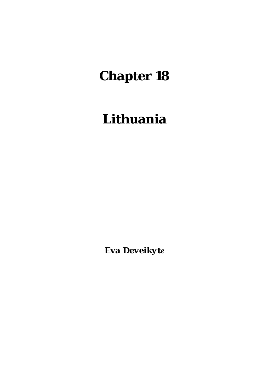# **Chapter 18**

# **Lithuania**

*Eva Deveikyte*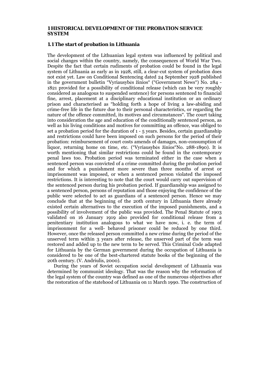#### **1 HISTORICAL DEVELOPMENT OF THE PROBATION SERVICE SYSTEM**

#### **1.1 The start of probation in Lithuania**

The development of the Lithuanian legal system was influenced by political and social changes within the country, namely, the consequences of World War Two. Despite the fact that certain rudiments of probation could be found in the legal system of Lithuania as early as in 1928, still, a clear-cut system of probation does not exist yet. Law on Conditional Sentencing dated 24 September 1928 published in the government bulletin "Vyriausybės žinios" ("Government News") No. 284 - 1821 provided for a possibility of conditional release (which can be very roughly considered as analogous to suspended sentence) for persons sentenced to financial fine, arrest, placement at a disciplinary educational institution or an ordinary prison and characterised as "holding forth a hope of living a law-abiding and crime-free life in the future due to their personal characteristics, or regarding the nature of the offence committed, its motives and circumstances". The court taking into consideration the age and education of the conditionally sentenced person, as well as his living conditions and motives for committing an offence, was obliged to set a probation period for the duration of 1 - 5 years. Besides, certain guardianship and restrictions could have been imposed on such persons for the period of their probation: reimbursement of court costs amends of damages, non-consumption of liquor, returning home on time, etc. ("Vyriausybės žinios"No. 288-1890). It is worth mentioning that similar restrictions could be found in the contemporary penal laws too. Probation period was terminated either in the case when a sentenced person was convicted of a crime committed during the probation period and for which a punishment more severe than three months of arrest or imprisonment was imposed, or when a sentenced person violated the imposed restrictions. It is interesting to note that the court would carry out supervision of the sentenced person during his probation period. If guardianship was assigned to a sentenced person, persons of reputation and those enjoying the confidence of the public were selected to act as guardians of a sentenced person. Hence we may conclude that at the beginning of the 20th century in Lithuania there already existed certain alternatives to the execution of the imposed punishments, and a possibility of involvement of the public was provided. The Penal Statute of 1903 validated on 16 January 1919 also provided for conditional release from a penitentiary institution analogous to what we have now, i. e. the term of imprisonment for a well- behaved prisoner could be reduced by one third. However, once the released person committed a new crime during the period of the unserved term within 3 years after release, the unserved part of the term was restored and added up to the new term to be served. This Criminal Code adapted for Lithuania by the German government during the occupation of Lithuania is considered to be one of the best-chartered statute books of the beginning of the 20th century. (V. Andriulis, 2000).

 During the years of Soviet occupation social development of Lithuania was determined by communist ideology. That was the reason why the reformation of the legal system of the country was defined as one of the numerous objectives after the restoration of the statehood of Lithuania on 11 March 1990. The construction of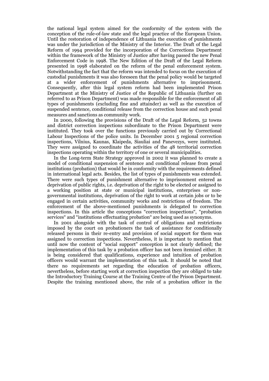the national legal system aimed for the conformity of the system with the conception of the rule-of-law state and the legal practice of the European Union. Until the restoration of independence of Lithuania the execution of punishments was under the jurisdiction of the Ministry of the Interior. The Draft of the Legal Reform of 1994 provided for the incorporation of the Corrections Department within the framework of the Ministry of Justice after having passed the new Penal Enforcement Code in 1998. The New Edition of the Draft of the Legal Reform presented in 1998 elaborated on the reform of the penal enforcement system. Notwithstanding the fact that the reform was intended to focus on the execution of custodial punishments it was also foreseen that the penal policy would be targeted at a wider enforcement of punishments alternative to imprisonment. Consequently, after this legal system reform had been implemented Prison Department at the Ministry of Justice of the Republic of Lithuania (further on referred to as Prison Department) was made responsible for the enforcement of all types of punishments (excluding fine and attainder) as well as the execution of suspended sentence, conditional release from the correction house and such penal measures and sanctions as community work.

 In 2000, following the provisions of the Draft of the Legal Reform, 52 towns and district correction inspections subordinate to the Prison Department were instituted. They took over the functions previously carried out by Correctional Labour Inspections of the police units. In December 2001 5 regional correction inspections, Vilnius, Kaunas, Klaipeda, Siauliai and Panevezys, were instituted. They were assigned to coordinate the activities of the 48 territorial correction inspections operating within the territory of one or several municipalities.

 In the Long-term State Strategy approved in 2002 it was planned to create a model of conditional suspension of sentence and conditional release from penal institutions (probation) that would be in conformity with the requirements defined in international legal acts. Besides, the list of types of punishments was extended. There were such types of punishment alternative to imprisonment entered as deprivation of public rights, i.e. deprivation of the right to be elected or assigned to a working position at state or municipal institutions, enterprises or nongovernmental institutions, deprivation of the right to work at certain jobs or to be engaged in certain activities, community works and restrictions of freedom. The enforcement of the above-mentioned punishments is delegated to correction inspections. In this article the conceptions "correction inspections", "probation services" and "institutions effectuating probation" are being used as synonyms.

 In 2001 alongside with the task of control of obligations and restrictions imposed by the court on probationers the task of assistance for conditionally released persons in their re-entry and provision of social support for them was assigned to correction inspections. Nevertheless, it is important to mention that until now the content of "social support" conception is not clearly defined; the implementation of this task by a probation officer has not been itemized either. It is being considered that qualifications, experience and intuition of probation officers would warrant the implementation of this task. It should be noted that there no requirements set regarding the education of probation officers, nevertheless, before starting work at correction inspection they are obliged to take the Introductory Training Course at the Training Centre of the Prison Department. Despite the training mentioned above, the role of a probation officer in the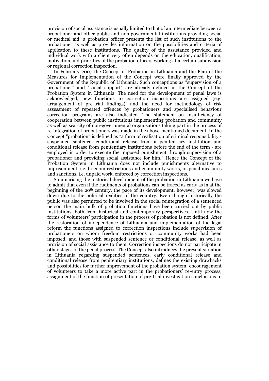provision of social assistance is usually limited to that of an intermediate between a probationer and other public and non-governmental institutions providing social or medical aid: a probation officer presents the list of such institutions to the probationer as well as provides information on the possibilities and criteria of application to these institutions. The quality of the assistance provided and individual work with a client very often depends on the education, qualification, motivation and priorities of the probation officers working at a certain subdivision or regional correction inspection.

 In February 2007 the Concept of Probation in Lithuania and the Plan of the Measures for Implementation of the Concept were finally approved by the Government of the Republic of Lithuania. Such conceptions as "supervision of a probationer" and "social support" are already defined in the Concept of the Probation System in Lithuania. The need for the development of penal laws is acknowledged, new functions to correction inspections are assigned (e.g. arrangement of pre-trial findings), and the need for methodology of risk assessment of repeated offences by probationers and specialised behaviour correction programs are also indicated. The statement on insufficiency of cooperation between public institutions implementing probation and community as well as scarcity of non-governmental organisations taking part in the process of re-integration of probationers was made in the above-mentioned document. In the Concept "probation" is defined as "a form of realisation of criminal responsibility suspended sentence, conditional release from a penitentiary institution and conditional release from penitentiary institutions before the end of the term - are employed in order to execute the imposed punishment through supervision of a probationer and providing social assistance for him." Hence the Concept of the Probation System in Lithuania does not include punishments alternative to imprisonment, i.e. freedom restrictions and community works, or penal measures and sanctions, i.e. unpaid work, enforced by correction inspections.

 Summarising the historical development of the probation in Lithuania we have to admit that even if the rudiments of probations can be traced as early as in at the beginning of the 20th century, the pace of its development, however, was slowed down due to the political realities of the country. Even though historically the public was also permitted to be involved in the social reintegration of a sentenced person the main bulk of probation functions have been carried out by public institutions, both from historical and contemporary perspectives. Until now the forms of volunteers' participation in the process of probation is not defined. After the restoration of independence of Lithuania and implementation of the legal reform the functions assigned to correction inspections include supervision of probationers on whom freedom restrictions or community works had been imposed, and those with suspended sentence or conditional release, as well as provision of social assistance to them. Correction inspections do not participate in other stages of the penal process. The Concept also introduces the present situation in Lithuania regarding suspended sentences, early conditional release and conditional release from penitentiary institutions, defines the existing drawbacks and possibilities for further improvement of the probation system: encouragement of volunteers to take a more active part in the probationers' re-entry process, assignment of the function of presentation of pre-trial investigation conclusions to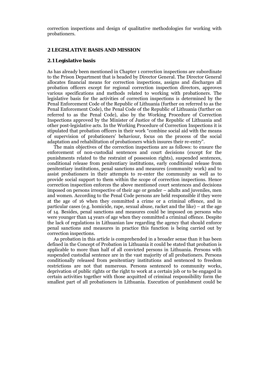correction inspections and design of qualitative methodologies for working with probationers.

#### **2 LEGISLATIVE BASIS AND MISSION**

#### **2.1 Legislative basis**

As has already been mentioned in Chapter 1 correction inspections are subordinate to the Prison Department that is headed by Director General. The Director General allocates financial means for correction inspections, assigns and discharges all probation officers except for regional correction inspection directors, approves various specifications and methods related to working with probationers. The legislative basis for the activities of correction inspections is determined by the Penal Enforcement Code of the Republic of Lithuania (further on referred to as the Penal Enforcement Code), the Penal Code of the Republic of Lithuania (further on referred to as the Penal Code), also by the Working Procedure of Correction Inspections approved by the Minister of Justice of the Republic of Lithuania and other post-legislative acts. In the Working Procedure of Correction Inspections it is stipulated that probation officers in their work "combine social aid with the means of supervision of probationers' behaviour, focus on the process of the social adaptation and rehabilitation of probationers which insures their re-entry".

 The main objectives of the correction inspections are as follows: to ensure the enforcement of non-custodial sentences and court decisions (except for the punishments related to the restraint of possession rights), suspended sentences, conditional release from penitentiary institutions, early conditional release from penitentiary institutions, penal sanctions and measures (community work) and to assist probationers in their attempts to re-enter the community as well as to provide social support to them within the scope of correction inspections. Hence correction inspection enforces the above mentioned court sentences and decisions imposed on persons irrespective of their age or gender – adults and juveniles, men and women. According to the Penal Code persons are held responsible if they were at the age of 16 when they committed a crime or a criminal offence, and in particular cases (e.g. homicide, rape, sexual abuse, racket and the like) – at the age of 14. Besides, penal sanctions and measures could be imposed on persons who were younger than 14 years of age when they committed a criminal offence. Despite the lack of regulations in Lithuanian law regarding the agency that should enforce penal sanctions and measures in practice this function is being carried out by correction inspections.

 As probation in this article is comprehended in a broader sense than it has been defined in the Concept of Probation in Lithuania it could be stated that probation is applicable to more than half of all convicted persons in Lithuania. Persons with suspended custodial sentence are in the vast majority of all probationers. Persons conditionally released from penitentiary institutions and sentenced to freedom restrictions are not that numerous. Persons sentenced to community works, deprivation of public rights or the right to work at a certain job or to be engaged in certain activities together with those acquitted of criminal responsibility form the smallest part of all probationers in Lithuania. Execution of punishment could be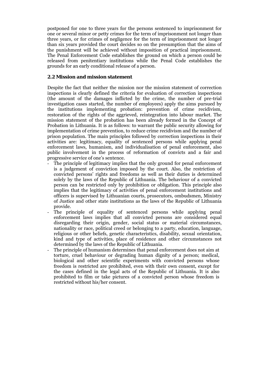postponed for one to three years for the persons sentenced to imprisonment for one or several minor or petty crimes for the term of imprisonment not longer than three years, or for crimes of negligence for the term of imprisonment not longer than six years provided the court decides so on the presumption that the aims of the punishment will be achieved without imposition of practical imprisonment. The Penal Enforcement Code establishes the ground on which a person could be released from penitentiary institutions while the Penal Code establishes the grounds for an early conditional release of a person.

# **2.2 Mission and mission statement**

Despite the fact that neither the mission nor the mission statement of correction inspections is clearly defined the criteria for evaluation of correction inspections (the amount of the damages inflicted by the crime, the number of pre-trial investigation cases started, the number of employees) apply the aims pursued by the institutions implementing probation: prevention of crime recidivism, restoration of the rights of the aggrieved, reintegration into labour market. The mission statement of the probation has been already formed in the Concept of Probation in Lithuania. It is as follows: to warrant the public security allowing for implementation of crime prevention, to reduce crime recidivism and the number of prison population. The main principles followed by correction inspections in their activities are: legitimacy, equality of sentenced persons while applying penal enforcement laws, humanism, and individualisation of penal enforcement, also public involvement in the process of reformation of convicts and a fair and progressive service of one's sentence.

- The principle of legitimacy implies that the only ground for penal enforcement is a judgement of conviction imposed by the court. Also, the restriction of convicted persons' rights and freedoms as well as their duties is determined solely by the laws of the Republic of Lithuania. The behaviour of a convicted person can be restricted only by prohibition or obligation. This principle also implies that the legitimacy of activities of penal enforcement institutions and officers is supervised by Lithuanian courts, prosecutors, ombudsmen, Ministry of Justice and other state institutions as the laws of the Republic of Lithuania provide.
- The principle of equality of sentenced persons while applying penal enforcement laws implies that all convicted persons are considered equal disregarding their origin, gender, social status or material circumstances, nationality or race, political creed or belonging to a party, education, language, religious or other beliefs, genetic characteristics, disability, sexual orientation, kind and type of activities, place of residence and other circumstances not determined by the laws of the Republic of Lithuania.
- The principle of humanism determines that penal enforcement does not aim at torture, cruel behaviour or degrading human dignity of a person; medical, biological and other scientific experiments with convicted persons whose freedom is restricted are prohibited, even with their own consent, except for the cases defined in the legal acts of the Republic of Lithuania. It is also prohibited to film or take pictures of a convicted person whose freedom is restricted without his/her consent.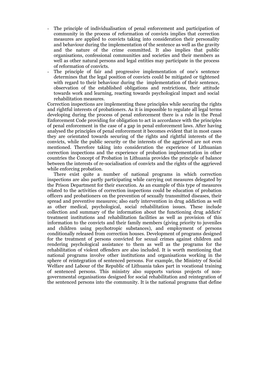- The principle of individualisation of penal enforcement and participation of community in the process of reformation of convicts implies that correction measures are applied to convicts taking into consideration their personality and behaviour during the implementation of the sentence as well as the gravity and the nature of the crime committed. It also implies that public organisations, confessional communities and societies and their members as well as other natural persons and legal entities may participate in the process of reformation of convicts.
- The principle of fair and progressive implementation of one's sentence determines that the legal position of convicts could be mitigated or tightened with regard to their behaviour during the implementation of their sentence, observation of the established obligations and restrictions, their attitude towards work and learning, reacting towards psychological impact and social rehabilitation measures.

Correction inspections are implementing these principles while securing the rights and rightful interests of probationers. As it is impossible to regulate all legal terms developing during the process of penal enforcement there is a rule in the Penal Enforcement Code providing for obligation to act in accordance with the principles of penal enforcement in the case of a gap in penal enforcement laws. After having analysed the principles of penal enforcement it becomes evident that in most cases they are orientated towards securing of the rights and rightful interests of the convicts, while the public security or the interests of the aggrieved are not even mentioned. Therefore taking into consideration the experience of Lithuanian correction inspections and the experience of probation implementation in other countries the Concept of Probation in Lithuania provides the principle of balance between the interests of re-socialisation of convicts and the rights of the aggrieved while enforcing probation.

 There exist quite a number of national programs in which correction inspections are also partly participating while carrying out measures delegated by the Prison Department for their execution. As an example of this type of measures related to the activities of correction inspections could be education of probation officers and probationers on the prevention of sexually transmitted diseases, their spread and preventive measures; also early intervention in drug addiction as well as other medical, psychological, social rehabilitation issues. These include collection and summary of the information about the functioning drug addicts' treatment institutions and rehabilitation facilities as well as provision of this information to the convicts and their family members (giving priority to juveniles and children using psychotropic substances), and employment of persons conditionally released from correction houses. Development of programs designed for the treatment of persons convicted for sexual crimes against children and rendering psychological assistance to them as well as the programs for the rehabilitation of violent offenders are also included. It is worth mentioning that national programs involve other institutions and organisations working in the sphere of reintegration of sentenced persons. For example, the Ministry of Social Welfare and Labour of the Republic of Lithuania takes part in vocational training of sentenced persons. This ministry also supports various projects of nongovernmental organisations designed for social rehabilitation and reintegration of the sentenced persons into the community. It is the national programs that define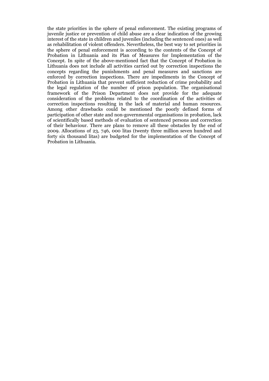the state priorities in the sphere of penal enforcement. The existing programs of juvenile justice or prevention of child abuse are a clear indication of the growing interest of the state in children and juveniles (including the sentenced ones) as well as rehabilitation of violent offenders. Nevertheless, the best way to set priorities in the sphere of penal enforcement is according to the contents of the Concept of Probation in Lithuania and its Plan of Measures for Implementation of the Concept. In spite of the above-mentioned fact that the Concept of Probation in Lithuania does not include all activities carried out by correction inspections the concepts regarding the punishments and penal measures and sanctions are enforced by correction inspections. There are impediments in the Concept of Probation in Lithuania that prevent sufficient reduction of crime probability and the legal regulation of the number of prison population. The organisational framework of the Prison Department does not provide for the adequate consideration of the problems related to the coordination of the activities of correction inspections resulting in the lack of material and human resources. Among other drawbacks could be mentioned the poorly defined forms of participation of other state and non-governmental organisations in probation, lack of scientifically based methods of evaluation of sentenced persons and correction of their behaviour. There are plans to remove all these obstacles by the end of 2009. Allocations of 23, 746, 000 litas (twenty three million seven hundred and forty six thousand litas) are budgeted for the implementation of the Concept of Probation in Lithuania.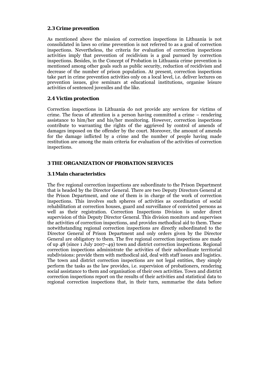# **2.3 Crime prevention**

As mentioned above the mission of correction inspections in Lithuania is not consolidated in laws so crime prevention is not referred to as a goal of correction inspections. Nevertheless, the criteria for evaluation of correction inspections activities imply that prevention of recidivism is a goal pursued by correction inspections. Besides, in the Concept of Probation in Lithuania crime prevention is mentioned among other goals such as public security, reduction of recidivism and decrease of the number of prison population. At present, correction inspections take part in crime prevention activities only on a local level, i.e. deliver lectures on prevention issues, give seminars at educational institutions, organise leisure activities of sentenced juveniles and the like.

# **2.4 Victim protection**

Correction inspections in Lithuania do not provide any services for victims of crime. The focus of attention is a person having committed a crime – rendering assistance to him/her and his/her monitoring. However, correction inspections contribute to warranting the rights of the aggrieved by control of amends of damages imposed on the offender by the court. Moreover, the amount of amends for the damage inflicted by a crime and the number of people having made restitution are among the main criteria for evaluation of the activities of correction inspections.

# **3 THE ORGANIZATION OF PROBATION SERVICES**

# **3.1 Main characteristics**

The five regional correction inspections are subordinate to the Prison Department that is headed by the Director General. There are two Deputy Directors General at the Prison Department, and one of them is in charge of the work of correction inspections. This involves such spheres of activities as coordination of social rehabilitation at correction houses, guard and surveillance of convicted persons as well as their registration. Correction Inspections Division is under direct supervision of this Deputy Director General. This division monitors and supervises the activities of correction inspections, and provides methodical aid to them. These notwithstanding regional correction inspections are directly subordinated to the Director General of Prison Department and only orders given by the Director General are obligatory to them. The five regional correction inspections are made of up 48 (since 1 July 2007–49) town and district correction inspections. Regional correction inspections administrate the activities of their subordinate territorial subdivisions: provide them with methodical aid, deal with staff issues and logistics. The town and district correction inspections are not legal entities, they simply perform the tasks as the law provides, i.e. supervision of probationers, rendering social assistance to them and organisation of their own activities. Town and district correction inspections report on the results of their activities and statistical data to regional correction inspections that, in their turn, summarise the data before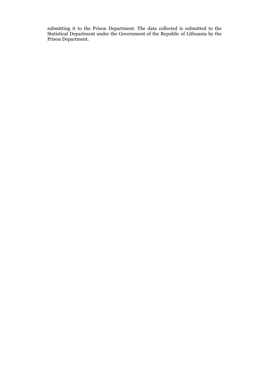submitting it to the Prison Department. The data collected is submitted to the Statistical Department under the Government of the Republic of Lithuania by the Prison Department.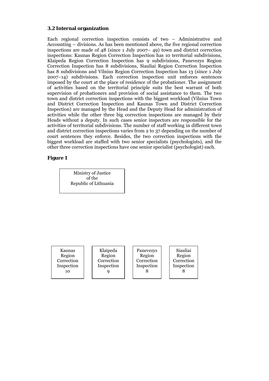# **3.2 Internal organization**

Each regional correction inspection consists of two – Administrative and Accounting – divisions. As has been mentioned above, the five regional correction inspections are made of 48 (since 1 July 2007– 49) town and district correction inspections: Kaunas Region Correction Inspection has 10 territorial subdivisions, Klaipeda Region Correction Inspection has 9 subdivisions, Panevezys Region Correction Inspection has 8 subdivisions, Siauliai Region Correction Inspection has 8 subdivisions and Vilnius Region Correction Inspection has 13 (since 1 July 2007–14) subdivisions. Each correction inspection unit enforces sentences imposed by the court at the place of residence of the probationer. The assignment of activities based on the territorial principle suits the best warrant of both supervision of probationers and provision of social assistance to them. The two town and district correction inspections with the biggest workload (Vilnius Town and District Correction Inspection and Kaunas Town and District Correction Inspection) are managed by the Head and the Deputy Head for administration of activities while the other three big correction inspections are managed by their Heads without a deputy. In such cases senior inspectors are responsible for the activities of territorial subdivisions. The number of staff working in different town and district correction inspections varies from 2 to 37 depending on the number of court sentences they enforce. Besides, the two correction inspections with the biggest workload are staffed with two senior specialists (psychologists), and the other three correction inspections have one senior specialist (psychologist) each.

# **Figure 1**

Ministry of Justice of the Republic of Lithuania

Kaunas Region **Correction** Inspection 10

Klaipeda Region Correction Inspection 9

Panevezys Region **Correction** Inspection 8

Siauliai Region **Correction** Inspection 8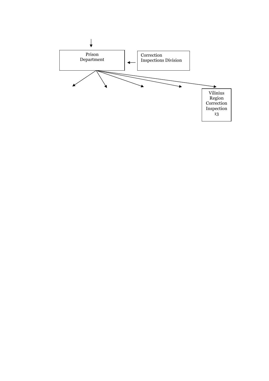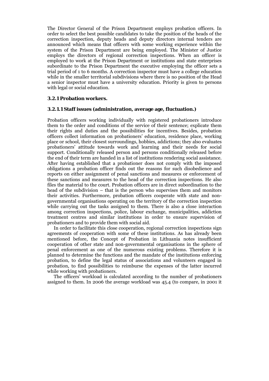The Director General of the Prison Department employs probation officers. In order to select the best possible candidates to take the position of the heads of the correction inspection, deputy heads and deputy directors internal tenders are announced which means that officers with some working experience within the system of the Prison Department are being employed. The Minister of Justice employs the directors of regional correction inspections. When an officer is employed to work at the Prison Department or institutions and state enterprises subordinate to the Prison Department the executive employing the officer sets a trial period of 1 to 6 months. A correction inspector must have a college education while in the smaller territorial subdivisions where there is no position of the Head a senior inspector must have a university education. Priority is given to persons with legal or social education.

# **3.2.1 Probation workers.**

## **3.2.1.1 Staff issues (administration, average age, fluctuation.)**

Probation officers working individually with registered probationers introduce them to the order and conditions of the service of their sentence; explicate them their rights and duties and the possibilities for incentives. Besides, probation officers collect information on probationers' education, residence place, working place or school, their closest surroundings, hobbies, addictions; they also evaluates probationers' attitude towards work and learning and their needs for social support. Conditionally released person and persons conditionally released before the end of their term are handed in a list of institutions rendering social assistance. After having established that a probationer does not comply with the imposed obligations a probation officer finds out the reasons for such disobedience and reports on either assignment of penal sanctions and measures or enforcement of these sanctions and measures to the head of the correction inspections. He also files the material to the court. Probation officers are in direct subordination to the head of the subdivision – that is the person who supervises them and monitors their activities. Furthermore, probation officers cooperate with state and nongovernmental organisations operating on the territory of the correction inspection while carrying out the tasks assigned to them. There is also a close interaction among correction inspections, police, labour exchange, municipalities, addiction treatment centres and similar institutions in order to ensure supervision of probationers and to provide them with social aid.

 In order to facilitate this close cooperation, regional correction inspections sign agreements of cooperation with some of these institutions. As has already been mentioned before, the Concept of Probation in Lithuania notes insufficient cooperation of other state and non-governmental organisations in the sphere of penal enforcement as one of the numerous existing problems. Therefore it is planned to determine the functions and the mandate of the institutions enforcing probation, to define the legal status of associations and volunteers engaged in probation, to find possibilities to reimburse the expenses of the latter incurred while working with probationers.

 The officers' workload is calculated according to the number of probationers assigned to them. In 2006 the average workload was 45.4 (to compare, in 2001 it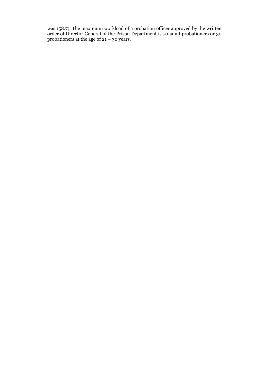was 158.7). The maximum workload of a probation officer approved by the written order of Director General of the Prison Department is 70 adult probationers or 30 probationers at the age of 21 – 30 years.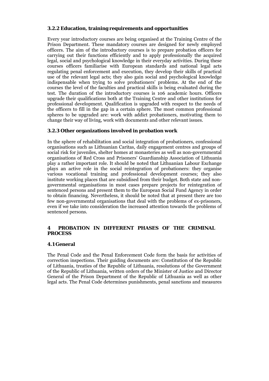# **3.2.2 Education, training requirements and opportunities**

Every year introductory courses are being organised at the Training Centre of the Prison Department. These mandatory courses are designed for newly employed officers. The aim of the introductory courses is to prepare probation officers for carrying out their functions efficiently and to apply professionally the acquired legal, social and psychological knowledge in their everyday activities. During these courses officers familiarise with European standards and national legal acts regulating penal enforcement and execution, they develop their skills of practical use of the relevant legal acts; they also gain social and psychological knowledge indispensable when trying to solve probationers' problems. At the end of the courses the level of the faculties and practical skills is being evaluated during the test. The duration of the introductory courses is 106 academic hours. Officers upgrade their qualifications both at the Training Centre and other institutions for professional development. Qualification is upgraded with respect to the needs of the officers to fill in the gap in a certain sphere. The most common professional spheres to be upgraded are: work with addict probationers, motivating them to change their way of living, work with documents and other relevant issues.

## **3.2.3 Other organizations involved in probation work**

In the sphere of rehabilitation and social integration of probationers, confessional organisations such as Lithuanian Caritas, daily engagement centres and groups of social risk for juveniles, shelter homes at monasteries as well as non-governmental organisations of Red Cross and Prisoners' Guardianship Association of Lithuania play a rather important role. It should be noted that Lithuanian Labour Exchange plays an active role in the social reintegration of probationers: they organise various vocational training and professional development courses; they also institute working places that are subsidised from their budget. Both state and nongovernmental organisations in most cases prepare projects for reintegration of sentenced persons and present them to the European Social Fund Agency in order to obtain financing. Nevertheless, it should be noted that at present there are too few non-governmental organisations that deal with the problems of ex-prisoners, even if we take into consideration the increased attention towards the problems of sentenced persons.

# **4 PROBATION IN DIFFERENT PHASES OF THE CRIMINAL PROCESS**

#### **4.1 General**

The Penal Code and the Penal Enforcement Code form the basis for activities of correction inspections. Their guiding documents are: Constitution of the Republic of Lithuania, treaties of the Republic of Lithuania, resolutions of the Government of the Republic of Lithuania, written orders of the Minister of Justice and Director General of the Prison Department of the Republic of Lithuania as well as other legal acts. The Penal Code determines punishments, penal sanctions and measures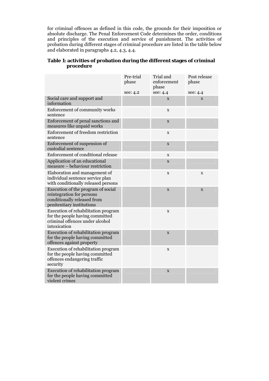for criminal offences as defined in this code, the grounds for their imposition or absolute discharge. The Penal Enforcement Code determines the order, conditions and principles of the execution and service of punishment. The activities of probation during different stages of criminal procedure are listed in the table below and elaborated in paragraphs 4.2, 4.3, 4.4.

| Table 1: activities of probation during the different stages of criminal |  |  |  |
|--------------------------------------------------------------------------|--|--|--|
| procedure                                                                |  |  |  |

|                                                                                                                             | Pre-trial<br>phase<br>see: 4.2 | Trial and<br>enforcement<br>phase<br>see: 4.4 | Post release<br>phase<br>see: 4.4 |
|-----------------------------------------------------------------------------------------------------------------------------|--------------------------------|-----------------------------------------------|-----------------------------------|
| Social care and support and<br>information                                                                                  |                                | X                                             | X                                 |
| Enforcement of community works<br>sentence                                                                                  |                                | X                                             |                                   |
| Enforcement of penal sanctions and<br>measures like unpaid works                                                            |                                | $\mathbf X$                                   |                                   |
| Enforcement of freedom restriction<br>sentence                                                                              |                                | $\mathbf X$                                   |                                   |
| Enforcement of suspension of<br>custodial sentence                                                                          |                                | $\mathbf X$                                   |                                   |
| Enforcement of conditional release                                                                                          |                                | X                                             |                                   |
| Application of an educational<br>measure - behaviour restriction                                                            |                                | $\mathbf X$                                   |                                   |
| Elaboration and management of<br>individual sentence service plan<br>with conditionally released persons                    |                                | X                                             | X                                 |
| Execution of the program of social<br>reintegration for persons<br>conditionally released from<br>penitentiary institutions |                                | $\mathbf X$                                   | X                                 |
| Execution of rehabilitation program<br>for the people having committed<br>criminal offences under alcohol<br>intoxication   |                                | X                                             |                                   |
| Execution of rehabilitation program<br>for the people having committed<br>offences against property                         |                                | X                                             |                                   |
| Execution of rehabilitation program<br>for the people having committed<br>offences endangering traffic<br>security          |                                | $\mathbf X$                                   |                                   |
| Execution of rehabilitation program<br>for the people having committed<br>violent crimes                                    |                                | $\mathbf X$                                   |                                   |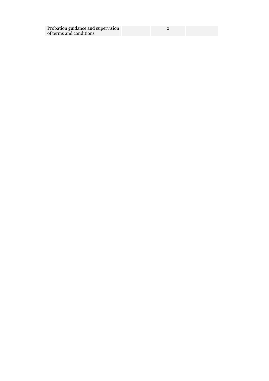| Probation guidance and supervision |  |
|------------------------------------|--|
| of terms and conditions            |  |

x x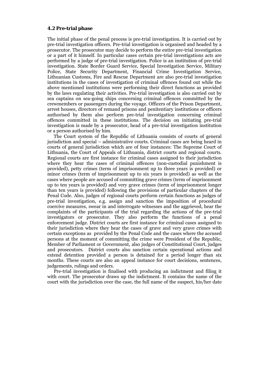#### **4.2 Pre-trial phase**

The initial phase of the penal process is pre-trial investigation. It is carried out by pre-trial investigation officers. Pre-trial investigation is organised and headed by a prosecutor. The prosecutor may decide to perform the entire pre-trial investigation or a part of it himself. In particular cases certain pre-trial investigations acts are performed by a judge of pre-trial investigation. Police is an institution of pre-trial investigation. State Border Guard Service, Special Investigation Service, Military Police, State Security Department, Financial Crime Investigation Service, Lithuanian Customs, Fire and Rescue Department are also pre-trial investigation institutions in the cases of investigation of criminal offences found out while the above mentioned institutions were performing their direct functions as provided by the laws regulating their activities. Pre-trial investigation is also carried out by sea captains on sea-going ships concerning criminal offences committed by the crewmembers or passengers during the voyage. Officers of the Prison Department, arrest houses, directors of remand prisons and penitentiary institutions or officers authorised by them also perform pre-trial investigation concerning criminal offences committed in these institutions. The decision on initiating pre-trial investigation is made by a prosecutor, head of a pre-trial investigation institution or a person authorised by him.

 The Court system of the Republic of Lithuania consists of courts of general jurisdiction and special – administrative courts. Criminal cases are being heard in courts of general jurisdiction which are of four instances: The Supreme Court of Lithuania, the Court of Appeals of Lithuania, district courts and regional courts. Regional courts are first instance for criminal cases assigned to their jurisdiction where they hear the cases of criminal offences (non-custodial punishment is provided), petty crimes (term of imprisonment up to three years is provided) or minor crimes (term of imprisonment up to six years is provided) as well as the cases where people are accused of committing grave crimes (term of imprisonment up to ten years is provided) and very grave crimes (term of imprisonment longer than ten years is provided) following the provisions of particular chapters of the Penal Code. Also, judges of regional courts perform certain functions as judges of pre-trial investigation, e.g. assign and sanction the imposition of procedural coercive measures, swear in and interrogate witnesses and the aggrieved, hear the complaints of the participants of the trial regarding the actions of the pre-trial investigators or prosecutor. They also perform the functions of a penal enforcement judge. District courts are first instance for criminal cases assigned to their jurisdiction where they hear the cases of grave and very grave crimes with certain exceptions as provided by the Penal Code and the cases where the accused persons at the moment of committing the crime were President of the Republic, Member of Parliament or Government, also judges of Constitutional Court, judges and prosecutors. District courts also sanction certain operational actions and extend detention provided a person is detained for a period longer than six months. These courts are also an appeal instance for court decisions, sentences, judgements, rulings and orders.

 Pre-trial investigation is finalised with producing an indictment and filing it with court. The prosecutor draws up the indictment. It contains the name of the court with the jurisdiction over the case, the full name of the suspect, his/her date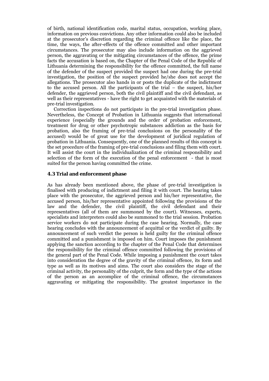of birth, national identification code, marital status, occupation, working place, information on previous convictions. Any other information could also be included at the prosecutor's discretion regarding the criminal offence like the place, the time, the ways, the after-effects of the offence committed and other important circumstances. The prosecutor may also include information on the aggrieved person, the aggravating or the mitigating circumstances of the offence, the prime facts the accusation is based on, the Chapter of the Penal Code of the Republic of Lithuania determining the responsibility for the offence committed, the full name of the defender of the suspect provided the suspect had one during the pre-trial investigation, the position of the suspect provided he/she does not accept the allegations. The prosecutor also hands in or posts the duplicate of the indictment to the accused person. All the participants of the trial – the suspect, his/her defender, the aggrieved person, both the civil plaintiff and the civil defendant, as well as their representatives - have the right to get acquainted with the materials of pre-trial investigation.

 Correction inspections do not participate in the pre-trial investigation phase. Nevertheless, the Concept of Probation in Lithuania suggests that international experience (especially the grounds and the order of probation enforcement, treatment for drug or other psychotropic substances addiction as the basis for probation, also the framing of pre-trial conclusions on the personality of the accused) would be of great use for the development of juridical regulation of probation in Lithuania. Consequently, one of the planned results of this concept is the set procedure of the framing of pre-trial conclusions and filing them with court. It will assist the court in the individualization of the criminal responsibility and selection of the form of the execution of the penal enforcement - that is most suited for the person having committed the crime.

## **4.3 Trial and enforcement phase**

As has already been mentioned above, the phase of pre-trial investigation is finalised with producing of indictment and filing it with court. The hearing takes place with the prosecutor, the aggrieved person and his/her representative, the accused person, his/her representative appointed following the provisions of the law and the defender, the civil plaintiff, the civil defendant and their representatives (all of them are summoned by the court). Witnesses, experts, specialists and interpreters could also be summoned to the trial session. Probation service workers do not participate during the case hearing. Normally, the case hearing concludes with the announcement of acquittal or the verdict of guilty. By announcement of such verdict the person is held guilty for the criminal offence committed and a punishment is imposed on him. Court imposes the punishment applying the sanction according to the chapter of the Penal Code that determines the responsibility for the criminal offence committed following the provisions of the general part of the Penal Code. While imposing a punishment the court takes into consideration the degree of the gravity of the criminal offence, its form and type as well as its motives and aims. The court also considers the stage of the criminal activity, the personality of the culprit, the form and the type of the actions of the person as an accomplice of the criminal offence, the circumstances aggravating or mitigating the responsibility. The greatest importance in the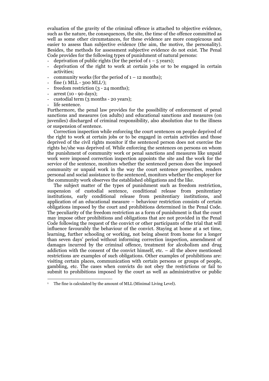evaluation of the gravity of the criminal offence is attached to objective evidence, such as the nature, the consequences, the site, the time of the offence committed as well as some other circumstances, for these evidence are more conspicuous and easier to assess than subjective evidence (the aim, the motive, the personality). Besides, the methods for assessment subjective evidence do not exist. The Penal Code provides for the following types of punishment of natural persons:

- deprivation of public rights (for the period of  $1 5$  years);
- deprivation of the right to work at certain jobs or to be engaged in certain activities;
- community works (for the period of  $1 12$  months):
- fine  $(1 \text{ MLL} 300 \text{ MLL}^1);$
- freedom restriction  $(3 24$  months);
- arrest (10 90 days);
- custodial term (3 months 20 years);
- life sentence.

 $\overline{a}$ 

Furthermore, the penal law provides for the possibility of enforcement of penal sanctions and measures (on adults) and educational sanctions and measures (on juveniles) discharged of criminal responsibility, also absolution due to the illness or suspension of sentence.

 Correction inspection while enforcing the court sentences on people deprived of the right to work at certain jobs or to be engaged in certain activities and those deprived of the civil rights monitor if the sentenced person does not exercise the rights he/she was deprived of. While enforcing the sentences on persons on whom the punishment of community work or penal sanctions and measures like unpaid work were imposed correction inspection appoints the site and the work for the service of the sentence, monitors whether the sentenced person does the imposed community or unpaid work in the way the court sentence prescribes, renders personal and social assistance to the sentenced, monitors whether the employer for the community work observes the established obligations and the like.

 The subject matter of the types of punishment such as freedom restriction, suspension of custodial sentence, conditional release from penitentiary institutions, early conditional release from penitentiary institutions, and application of an educational measure – behaviour restriction consists of certain obligations imposed by the court and prohibitions determined in the Penal Code. The peculiarity of the freedom restriction as a form of punishment is that the court may impose other prohibitions and obligations that are not provided in the Penal Code following the request of the convict or other participants of the trial that will influence favourably the behaviour of the convict. Staying at home at a set time, learning, further schooling or working, not being absent from home for a longer than seven days' period without informing correction inspection, amendment of damages incurred by the criminal offence, treatment for alcoholism and drug addiction with the consent of the convict himself, etc. – all the above mentioned restrictions are examples of such obligations. Other examples of prohibitions are: visiting certain places, communication with certain persons or groups of people, gambling, etc. The cases when convicts do not obey the restrictions or fail to submit to prohibitions imposed by the court as well as administrative or public

<sup>1</sup> The fine is calculated by the amount of MLL (Minimal Living Level).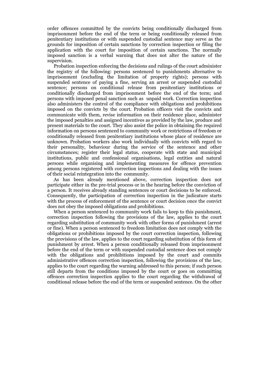order offences committed by the convicts being conditionally discharged from imprisonment before the end of the term or being conditionally released from penitentiary institutions or with suspended custodial sentence may serve as the grounds for imposition of certain sanctions by correction inspection or filing the application with the court for imposition of certain sanctions. The normally imposed sanction is a verbal warning that does not alter the nature of the supervision.

 Probation inspection enforcing the decisions and rulings of the court administer the registry of the following: persons sentenced to punishments alternative to imprisonment (excluding the limitation of property rights); persons with suspended sentence of paying a fine, serving an arrest or suspended custodial sentence; persons on conditional release from penitentiary institutions or conditionally discharged from imprisonment before the end of the term; and persons with imposed penal sanction such as unpaid work. Correction inspection also administers the control of the compliance with obligations and prohibitions imposed on the convicts by the court. Probation officers visit the convicts and communicate with them, revise information on their residence place, administer the imposed penalties and assigned incentives as provided by the law, produce and present materials to the court. They also assist the police in obtaining the required information on persons sentenced to community work or restrictions of freedom or conditionally released from penitentiary institutions whose place of residence are unknown. Probation workers also work individually with convicts with regard to their personality, behaviour during the service of the sentence and other circumstances; register their legal status, cooperate with state and municipal institutions, public and confessional organisations, legal entities and natural persons while organising and implementing measures for offence prevention among persons registered with correction inspections and dealing with the issues of their social reintegration into the community.

 As has been already mentioned above, correction inspection does not participate either in the pre-trial process or in the hearing before the conviction of a person. It receives already standing sentences or court decisions to be enforced. Consequently, the participation of correction inspection in the judicature starts with the process of enforcement of the sentence or court decision once the convict does not obey the imposed obligations and prohibitions.

When a person sentenced to community work fails to keep to this punishment, correction inspection following the provisions of the law, applies to the court regarding substitution of community work with other forms of punishment (arrest or fine). When a person sentenced to freedom limitation does not comply with the obligations or prohibitions imposed by the court correction inspection, following the provisions of the law, applies to the court regarding substitution of this form of punishment by arrest. When a person conditionally released from imprisonment before the end of the term or with suspended custodial sentence does not comply with the obligations and prohibitions imposed by the court and commits administrative offences correction inspection, following the provisions of the law, applies to the court regarding the warning addressed to this person; if such person still departs from the conditions imposed by the court or goes on committing offences correction inspection applies to the court regarding the withdrawal of conditional release before the end of the term or suspended sentence. On the other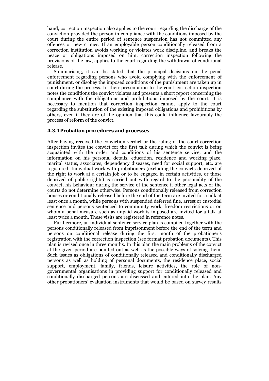hand, correction inspection also applies to the court regarding the discharge of the conviction provided the person in compliance with the conditions imposed by the court during the entire period of sentence suspension has not committed any offences or new crimes. If an employable person conditionally released from a correction institution avoids working or violates work discipline, and breaks the peace or obligations imposed on him, correction inspection following the provisions of the law, applies to the court regarding the withdrawal of conditional release.

 Summarising, it can be stated that the principal decisions on the penal enforcement regarding persons who avoid complying with the enforcement of punishment, or disobey the imposed conditions of the punishment are taken up in court during the process. In their presentation to the court correction inspection notes the conditions the convict violates and presents a short report concerning the compliance with the obligations and prohibitions imposed by the court. It is necessary to mention that correction inspection cannot apply to the court regarding the substitution of the existing imposed obligations and prohibitions by others, even if they are of the opinion that this could influence favourably the process of reform of the convict.

## **4.3.1 Probation procedures and processes**

After having received the conviction verdict or the ruling of the court correction inspection invites the convict for the first talk during which the convict is being acquainted with the order and conditions of his sentence service, and the information on his personal details, education, residence and working place, marital status, associates, dependency diseases, need for social support, etc. are registered. Individual work with probationers (excluding the convicts deprived of the right to work at a certain job or to be engaged in certain activities, or those deprived of public rights) is carried out with regard to the personality of the convict, his behaviour during the service of the sentence if other legal acts or the courts do not determine otherwise. Persons conditionally released from correction houses or conditionally released before the end of the term are invited for a talk at least once a month, while persons with suspended deferred fine, arrest or custodial sentence and persons sentenced to community work, freedom restrictions or on whom a penal measure such as unpaid work is imposed are invited for a talk at least twice a month. These visits are registered in reference notes.

 Furthermore, an individual sentence service plan is compiled together with the persons conditionally released from imprisonment before the end of the term and persons on conditional release during the first month of the probationer's registration with the correction inspection (see format probation documents). This plan is revised once in three months. In this plan the main problems of the convict at the given period are pointed out as well as the possible ways of solving them. Such issues as obligations of conditionally released and conditionally discharged persons as well as holding of personal documents, the residence place, social support, employment, family, friends, leisure activities, the role of nongovernmental organisations in providing support for conditionally released and conditionally discharged persons are discussed and entered into the plan. Any other probationers' evaluation instruments that would be based on survey results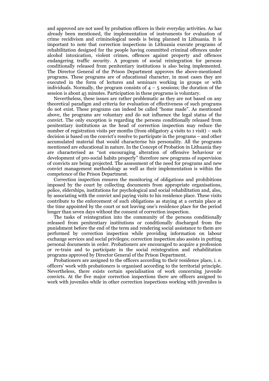and approved are not used by probation officers in their everyday activities. As has already been mentioned, the implementation of instruments for evaluation of crime recidivism and criminological needs is being planned in Lithuania. It is important to note that correction inspections in Lithuania execute programs of rehabilitation designed for the people having committed criminal offences under alcohol intoxication, violent crimes, offences against property and offences endangering traffic security. A program of social reintegration for persons conditionally released from penitentiary institutions is also being implemented. The Director General of the Prison Department approves the above-mentioned programs. These programs are of educational character, in most cases they are executed in the form of lectures and seminars working in groups or with individuals. Normally, the program consists of  $4 - 5$  sessions; the duration of the session is about 45 minutes. Participation in these programs is voluntary.

 Nevertheless, these issues are rather problematic as they are not based on any theoretical paradigm and criteria for evaluation of effectiveness of such programs do not exist. These programs can indeed be called "home made". As mentioned above, the programs are voluntary and do not influence the legal status of the convict. The only exception is regarding the persons conditionally released from penitentiary institutions as the head of correction inspection may reduce the number of registration visits per months (from obligatory 4 visits to 1 visit) – such decision is based on the convict's resolve to participate in the programs – and other accumulated material that would characterise his personality. All the programs mentioned are educational in nature. In the Concept of Probation in Lithuania they are characterised as "not encouraging alteration of offensive behaviour or development of pro-social habits properly" therefore new programs of supervision of convicts are being projected. The assessment of the need for programs and new convict management methodology as well as their implementation is within the competence of the Prison Department.

 Correction inspection ensures the monitoring of obligations and prohibitions imposed by the court by collecting documents from appropriate organisations, police, elderships, institutions for psychological and social rehabilitation and, also, by associating with the convict and paying visits to his residence place. These visits contribute to the enforcement of such obligations as staying at a certain place at the time appointed by the court or not leaving one's residence place for the period longer than seven days without the consent of correction inspection.

 The tasks of reintegration into the community of the persons conditionally released from penitentiary institutions or conditionally discharged from the punishment before the end of the term and rendering social assistance to them are performed by correction inspection while providing information on labour exchange services and social privileges; correction inspection also assists in putting personal documents in order. Probationers are encouraged to acquire a profession or re-train and to participate in the social reintegration and rehabilitation programs approved by Director General of the Prison Department.

 Probationers are assigned to the officers according to their residence place, i. e. officers' work with probationers is organised according to the territorial principle. Nevertheless, there exists certain specialisation of work concerning juvenile convicts. At the five major correction inspections there are officers assigned to work with juveniles while in other correction inspections working with juveniles is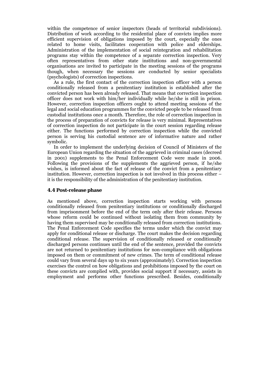within the competence of senior inspectors (heads of territorial subdivisions). Distribution of work according to the residential place of convicts implies more efficient supervision of obligations imposed by the court, especially the ones related to home visits, facilitates cooperation with police and elderships. Administration of the implementation of social reintegration and rehabilitation programs stay within the competence of a separate correction inspection. Very often representatives from other state institutions and non-governmental organisations are invited to participate in the meeting sessions of the programs though, when necessary the sessions are conducted by senior specialists (psychologists) of correction inspections.

 As a rule, the first contact of the correction inspection officer with a person conditionally released from a penitentiary institution is established after the convicted person has been already released. That means that correction inspection officer does not work with him/her individually while he/she is still in prison. However, correction inspection officers ought to attend meeting sessions of the legal and social education programmes for the convicted people to be released from custodial institutions once a month. Therefore, the role of correction inspection in the process of preparation of convicts for release is very minimal. Representatives of correction inspection do not participate in the court session regarding release either. The functions performed by correction inspection while the convicted person is serving his custodial sentence are of informative nature and rather symbolic.

 In order to implement the underlying decision of Council of Ministers of the European Union regarding the situation of the aggrieved in criminal cases (decreed in 2001) supplements to the Penal Enforcement Code were made in 2006. Following the provisions of the supplements the aggrieved person, if he/she wishes, is informed about the fact of release of the convict from a penitentiary institution. However, correction inspection is not involved in this process either – it is the responsibility of the administration of the penitentiary institution.

## **4.4 Post-release phase**

As mentioned above, correction inspection starts working with persons conditionally released from penitentiary institutions or conditionally discharged from imprisonment before the end of the term only after their release. Persons whose reform could be continued without isolating them from community by having them supervised may be conditionally released from correction institutions. The Penal Enforcement Code specifies the terms under which the convict may apply for conditional release or discharge. The court makes the decision regarding conditional release. The supervision of conditionally released or conditionally discharged persons continues until the end of the sentence, provided the convicts are not returned to penitentiary institutions for non-compliance with obligations imposed on them or commitment of new crimes. The term of conditional release could vary from several days up to six years (approximately). Correction inspection exercises the control on how obligations and prohibitions imposed by the court on these convicts are complied with, provides social support if necessary, assists in employment and performs other functions prescribed. Besides, conditionally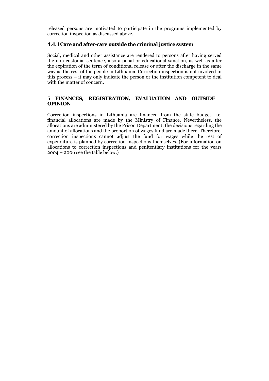released persons are motivated to participate in the programs implemented by correction inspection as discussed above.

# **4.4.1 Care and after-care outside the criminal justice system**

Social, medical and other assistance are rendered to persons after having served the non-custodial sentence, also a penal or educational sanction, as well as after the expiration of the term of conditional release or after the discharge in the same way as the rest of the people in Lithuania. Correction inspection is not involved in this process – it may only indicate the person or the institution competent to deal with the matter of concern.

# **5 FINANCES, REGISTRATION, EVALUATION AND OUTSIDE OPINION**

Correction inspections in Lithuania are financed from the state budget, i.e. financial allocations are made by the Ministry of Finance. Nevertheless, the allocations are administered by the Prison Department: the decisions regarding the amount of allocations and the proportion of wages fund are made there. Therefore, correction inspections cannot adjust the fund for wages while the rest of expenditure is planned by correction inspections themselves. (For information on allocations to correction inspections and penitentiary institutions for the years 2004 – 2006 see the table below.)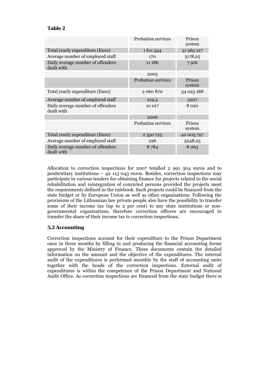# **Table 2**

|                                                 | <b>Probation services</b> | Prison<br>system |
|-------------------------------------------------|---------------------------|------------------|
| Total yearly expenditure (Euro)                 | 1611544                   | 31 565 217       |
| Average number of employed staff                | 170                       | 3178,25          |
| Daily average number of offenders<br>dealt with | 11 186                    | 7916             |
|                                                 | 2005                      |                  |
|                                                 | <b>Probation services</b> | Prison<br>system |
| Total yearly expenditure (Euro)                 | 2 060 870                 | 34 023 188       |
| Average number of employed staff                | 219,5                     | 3207             |
| Daily average number of offenders<br>dealt with | 10 017                    | 8 0 2 0          |
|                                                 | 2006                      |                  |
|                                                 | <b>Probation services</b> | Prison<br>system |
| Total yearly expenditure (Euro)                 | 2 350 725                 | 40 005 797       |
| Average number of employed staff                | 226                       | 3248,25          |
| Daily average number of offenders<br>dealt with | 8784                      | 8 0 6 3          |

Allocation to correction inspections for 2007 totalled 2 991 304 euros and to penitentiary institutions  $-42$  113 043 euros. Besides, correction inspections may participate in various tenders for obtaining finance for projects related to the social rehabilitation and reintegration of convicted persons provided the projects meet the requirements defined in the rulebook. Such projects could be financed from the state budget or by European Union as well as other organisations. Following the provisions of the Lithuanian law private people also have the possibility to transfer some of their income tax (up to 2 per cent) to any state institutions or nongovernmental organisations, therefore correction officers are encouraged to transfer the share of their income tax to correction inspections.

# **5.2 Accounting**

Correction inspections account for their expenditure to the Prison Department once in three months by filling in and producing the financial accounting forms approved by the Ministry of Finance. These documents contain the detailed information on the amount and the objective of the expenditures. The internal audit of the expenditures is performed monthly by the staff of accounting units together with the heads of the correction inspections. External audit of expenditures is within the competence of the Prison Department and National Audit Office. As correction inspections are financed from the state budget there is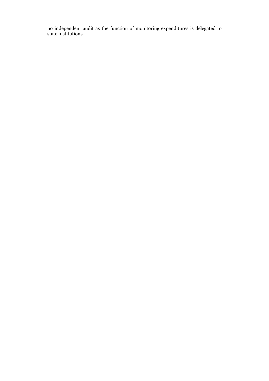no independent audit as the function of monitoring expenditures is delegated to state institutions.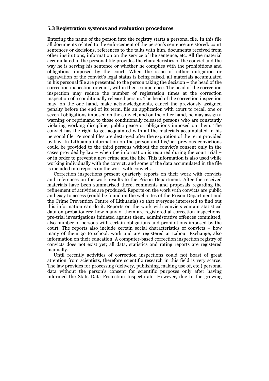## **5.3 Registration systems and evaluation procedures**

Entering the name of the person into the registry starts a personal file. In this file all documents related to the enforcement of the person's sentence are stored: court sentences or decisions, references to the talks with him, documents received from other institutions, information on the service of the sentence, etc. All the material accumulated in the personal file provides the characteristics of the convict and the way he is serving his sentence or whether he complies with the prohibitions and obligations imposed by the court. When the issue of either mitigation or aggravation of the convict's legal status is being raised, all materials accumulated in his personal file are presented to the person taking the decision – the head of the correction inspection or court, within their competence. The head of the correction inspection may reduce the number of registration times at the correction inspection of a conditionally released person. The head of the correction inspection may, on the one hand, make acknowledgments, cancel the previously assigned penalty before the end of its term, file an application with court to recall one or several obligations imposed on the convict, and on the other hand, he may assign a warning or reprimand to those conditionally released persons who are constantly violating working discipline, public peace or obligations imposed on them. The convict has the right to get acquainted with all the materials accumulated in his personal file. Personal files are destroyed after the expiration of the term provided by law. In Lithuania information on the person and his/her previous convictions could be provided to the third persons without the convict's consent only in the cases provided by law – when the information is required during the court trial – or in order to prevent a new crime and the like. This information is also used while working individually with the convict, and some of the data accumulated in the file is included into reports on the work with convicts.

 Correction inspections present quarterly reports on their work with convicts and references on the work results to the Prison Department. After the received materials have been summarised there, comments and proposals regarding the refinement of activities are produced. Reports on the work with convicts are public and easy to access (could be found on the web-sites of the Prison Department and the Crime Prevention Centre of Lithuania) so that everyone interested to find out this information can do it. Reports on the work with convicts contain statistical data on probationers: how many of them are registered at correction inspections, pre-trial investigations initiated against them, administrative offences committed, also number of persons with certain obligations and prohibitions imposed by the court. The reports also include certain social characteristics of convicts – how many of them go to school, work and are registered at Labour Exchange, also information on their education. A computer-based correction inspection registry of convicts does not exist yet; all data, statistics and rating reports are registered manually.

 Until recently activities of correction inspections could not boast of great attention from scientists, therefore scientific research in this field is very scarce. The law provides for processing (delivery, publishing, making use of, etc.) personal data without the person's consent for scientific purposes only after having informed the State Data Protection Inspectorate. However, due to the growing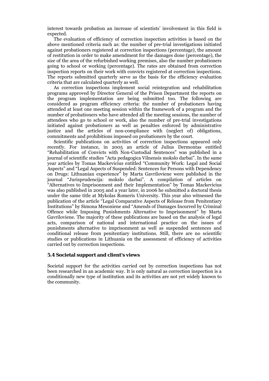interest towards probation an increase of scientists' involvement in this field is expected.

 The evaluation of efficiency of correction inspection activities is based on the above mentioned criteria such as: the number of pre-trial investigations initiated against probationers registered at correction inspections (percentage), the amount of restitution in order to make amendment for the damages done (percentage), the size of the area of the refurbished working premises, also the number probationers going to school or working (percentage). The rates are obtained from correction inspection reports on their work with convicts registered at correction inspections. The reports submitted quarterly serve as the basis for the efficiency evaluation criteria that are calculated quarterly as well.

 As correction inspections implement social reintegration and rehabilitation programs approved by Director General of the Prison Department the reports on the program implementation are being submitted too. The following are considered as program efficiency criteria: the number of probationers having attended at least one meeting session within the framework of a program and the number of probationers who have attended all the meeting sessions, the number of attendees who go to school or work, also the number of pre-trial investigations initiated against probationers as well as penalties enforced by administrative justice and the articles of non-compliance with (neglect of) obligations, commitments and prohibitions imposed on probationers by the court.

 Scientific publications on activities of correction inspections appeared only recently. For instance, in 2005 an article of Julius Dermontas entitled "Rehabilitation of Convicts with Non-Custodial Sentences" was published in a journal of scientific studies "Acta pedagogica Vilnensis mokslo darbai". In the same year articles by Tomas Mackevicius entitled "Community Work: Legal and Social Aspects" and "Legal Aspects of Suspended: Sentences for Persons with Dependency on Drugs: Lithuanian experience" by Marta Gavriloviene were published in the journal "Jurisprudencija: mokslo darbai". A compilation of articles on "Alternatives to Imprisonment and their Implementation" by Tomas Mackevicius was also published in 2005 and a year later, in 2006 he submitted a doctoral thesis under the same title at Mykolas Romeris University. This year also witnessed the publication of the article "Legal Comparative Aspects of Release from Penitentiary Institutions" by Simona Mesoniene and "Amends of Damages Incurred by Criminal Offence while Imposing Punishments Alternative to Imprisonment" by Marta Gavriloviene. The majority of these publications are based on the analysis of legal acts, comparison of national and international practice on the issues of punishments alternative to imprisonment as well as suspended sentences and conditional release from penitentiary institutions. Still, there are no scientific studies or publications in Lithuania on the assessment of efficiency of activities carried out by correction inspections.

# **5.4 Societal support and client's views**

Societal support for the activities carried out by correction inspections has not been researched in an academic way. It is only natural as correction inspection is a conditionally new type of institution and its activities are not yet widely known to the community.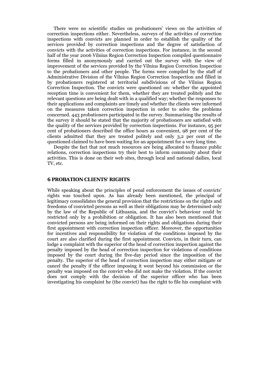There were no scientific studies on probationers' views on the activities of correction inspections either. Nevertheless, surveys of the activities of correction inspections with convicts are planned in order to establish the quality of the services provided by correction inspections and the degree of satisfaction of convicts with the activities of correction inspections. For instance, in the second half of the year 2006 Vilnius Region Correction Inspection compiled questionnaire forms filled in anonymously and carried out the survey with the view of improvement of the services provided by the Vilnius Region Correction Inspection to the probationers and other people. The forms were compiled by the staff of Administrative Division of the Vilnius Region Correction Inspection and filled in by probationers registered at territorial subdivisions of the Vilnius Region Correction Inspection. The convicts were questioned on: whether the appointed reception time is convenient for them, whether they are treated politely and the relevant questions are being dealt with in a qualified way; whether the responses to their applications and complaints are timely and whether the clients were informed on the measures taken correction inspection in order to solve the problems concerned. 443 probationers participated in the survey. Summarising the results of the survey it should be stated that the majority of probationers are satisfied with the quality of the services provided by correction inspections. For instance, 95 per cent of probationers described the office hours as convenient, 98 per cent of the clients admitted that they are treated politely and only 3,2 per cent of the questioned claimed to have been waiting for an appointment for a very long time.

 Despite the fact that not much resources are being allocated to finance public relations, correction inspections try their best to inform community about their activities. This is done on their web sites, through local and national dailies, local TV, etc.

#### **6 PROBATION CLIENTS' RIGHTS**

While speaking about the principles of penal enforcement the issues of convicts' rights was touched upon. As has already been mentioned, the principal of legitimacy consolidates the general provision that the restrictions on the rights and freedoms of convicted persons as well as their obligations may be determined only by the law of the Republic of Lithuania, and the convict's behaviour could by restricted only by a prohibition or obligation. It has also been mentioned that convicted persons are being informed on their rights and obligations during their first appointment with correction inspection officer. Moreover, the opportunities for incentives and responsibility for violation of the conditions imposed by the court are also clarified during the first appointment. Convicts, in their turn, can lodge a complaint with the superior of the head of correction inspection against the penalty imposed by the head of correction inspection for violations of conditions imposed by the court during the five-day period since the imposition of the penalty. The superior of the head of correction inspection may either mitigate or cancel the penalty if the officer imposing it went beyond his commission or the penalty was imposed on the convict who did not make the violation. If the convict does not comply with the decision of the superior officer who has been investigating his complaint he (the convict) has the right to file his complaint with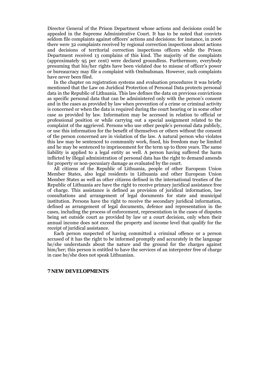Director General of the Prison Department whose actions and decisions could be appealed in the Supreme Administrative Court. It has to be noted that convicts seldom file complaints against officers' actions and decisions: for instance, in 2006 there were 32 complaints received by regional correction inspections about actions and decisions of territorial correction inspections officers while the Prison Department received 13 complains of this kind. The majority of the complaints (approximately 95 per cent) were declared groundless. Furthermore, everybody presuming that his/her rights have been violated due to misuse of officer's power or bureaucracy may file a complaint with Ombudsman. However, such complaints have never been filed.

 In the chapter on registration systems and evaluation procedures it was briefly mentioned that the Law on Juridical Protection of Personal Data protects personal data in the Republic of Lithuania. This law defines the data on previous convictions as specific personal data that can be administered only with the person's consent and in the cases as provided by law when prevention of a crime or criminal activity is concerned or when the data is required during the court hearing or in some other case as provided by law. Information may be accessed in relation to official or professional position or while carrying out a special assignment related to the complaint of the aggrieved. Persons who use other people's personal data publicly, or use this information for the benefit of themselves or others without the consent of the person concerned are in violation of the law. A natural person who violates this law may be sentenced to community work, fined, his freedom may be limited and he may be sentenced to imprisonment for the term up to three years. The same liability is applied to a legal entity as well. A person having suffered the harm inflicted by illegal administration of personal data has the right to demand amends for property or non-pecuniary damage as evaluated by the court.

 All citizens of the Republic of Lithuania, people of other European Union Member States, also legal residents in Lithuania and other European Union Member States as well as other citizens defined in the international treaties of the Republic of Lithuania are have the right to receive primary juridical assistance free of charge. This assistance is defined as provision of juridical information, law consultations and arrangement of legal documents for state and municipal institution. Persons have the right to receive the secondary juridical information, defined as arrangement of legal documents, defence and representation in the cases, including the process of enforcement, representation in the cases of disputes being set outside court as provided by law or a court decision, only when their annual income does not exceed the property and income level that qualify for the receipt of juridical assistance.

 Each person suspected of having committed a criminal offence or a person accused of it has the right to be informed promptly and accurately in the language he/she understands about the nature and the ground for the charges against him/her; this person is entitled to have the services of an interpreter free of charge in case he/she does not speak Lithuanian.

#### **7 NEW DEVELOPMENTS**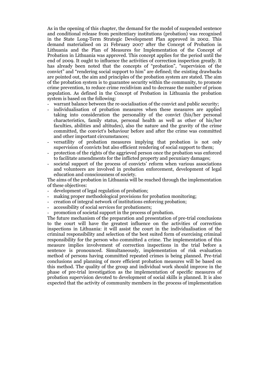As in the opening of this chapter, the demand for the model of suspended sentence and conditional release from penitentiary institutions (probation) was recognised in the State Long-Term Strategic Development Plan approved in 2002. This demand materialised on 21 February 2007 after the Concept of Probation in Lithuania and the Plan of Measures for Implementation of the Concept of Probation in Lithuania was approved. This concept applies for the period until the end of 2009. It ought to influence the activities of correction inspection greatly. It has already been noted that the concepts of "probation", "supervision of the convict" and "rendering social support to him" are defined; the existing drawbacks are pointed out, the aim and principles of the probation system are stated. The aim of the probation system is to guarantee security within the community, to promote crime prevention, to reduce crime recidivism and to decrease the number of prison population. As defined in the Concept of Probation in Lithuania the probation system is based on the following:

- warrant balance between the re-socialisation of the convict and public security;
- individualisation of probation measures when these measures are applied taking into consideration the personality of the convict (his/her personal characteristics, family status, personal health as well as other of his/her faculties, abilities and altitudes), also the nature and the gravity of the crime committed, the convict's behaviour before and after the crime was committed and other important circumstances;
- versatility of probation measures implying that probation is not only supervision of convicts but also efficient rendering of social support to them;
- protection of the rights of the aggrieved person once the probation was enforced to facilitate amendments for the inflicted property and pecuniary damages;
- societal support of the process of convicts' reform when various associations and volunteers are involved in probation enforcement, development of legal education and consciousness of society.

The aims of the probation in Lithuania will be reached through the implementation of these objectives:

- development of legal regulation of probation;
- making proper methodological provisions for probation monitoring:
- creation of integral network of institutions enforcing probation;
- accessibility of social services for probationers;
- promotion of societal support in the process of probation.

The future mechanism of the preparation and presentation of pre-trial conclusions to the court will have the greatest influence on the activities of correction inspections in Lithuania: it will assist the court in the individualisation of the criminal responsibility and selection of the best suited form of exercising criminal responsibility for the person who committed a crime. The implementation of this measure implies involvement of correction inspections in the trial before a sentence is pronounced. Simultaneously, implementation of risk evaluation method of persons having committed repeated crimes is being planned. Pre-trial conclusions and planning of more efficient probation measures will be based on this method. The quality of the group and individual work should improve in the phase of pre-trial investigation as the implementation of specific measures of probation supervision devoted to development of social skills is planned. It is also expected that the activity of community members in the process of implementation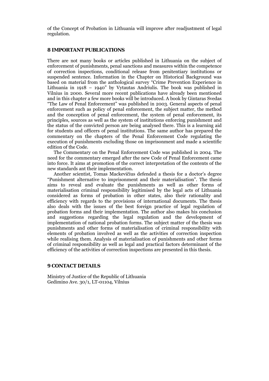of the Concept of Probation in Lithuania will improve after readjustment of legal regulation.

#### **8 IMPORTANT PUBLICATIONS**

There are not many books or articles published in Lithuania on the subject of enforcement of punishments, penal sanctions and measures within the competence of correction inspections, conditional release from penitentiary institutions or suspended sentence. Information in the Chapter on Historical Background was based on material from the anthological survey "Crime Prevention Experience in Lithuania in 1918 – 1940" by Vytautas Andriulis. The book was published in Vilnius in 2000. Several more recent publications have already been mentioned and in this chapter a few more books will be introduced. A book by Gintaras Svedas "The Law of Penal Enforcement" was published in 2003. General aspects of penal enforcement such as policy of penal enforcement, the subject matter, the method and the conception of penal enforcement, the system of penal enforcement, its principles, sources as well as the system of institutions enforcing punishment and the status of the convicted person are being analysed there. This is a learning aid for students and officers of penal institutions. The same author has prepared the commentary on the chapters of the Penal Enforcement Code regulating the execution of punishments excluding those on imprisonment and made a scientific edition of the Code.

 The Commentary on the Penal Enforcement Code was published in 2004. The need for the commentary emerged after the new Code of Penal Enforcement came into force. It aims at promotion of the correct interpretation of the contents of the new standards ant their implementation.

 Another scientist, Tomas Mackevičius defended a thesis for a doctor's degree "Punishment alternative to imprisonment and their materialisation". The thesis aims to reveal and evaluate the punishments as well as other forms of materialisation criminal responsibility legitimised by the legal acts of Lithuania considered as forms of probation in other states, also their rationality and efficiency with regards to the provisions of international documents. The thesis also deals with the issues of the best foreign practice of legal regulation of probation forms and their implementation. The author also makes his conclusion and suggestions regarding the legal regulation and the development of implementation of national probation forms. The subject matter of the thesis was punishments and other forms of materialisation of criminal responsibility with elements of probation involved as well as the activities of correction inspection while realising them. Analysis of materialisation of punishments and other forms of criminal responsibility as well as legal and practical factors determinant of the efficiency of the activities of correction inspections are presented in this thesis.

# **9 CONTACT DETAILS**

Ministry of Justice of the Republic of Lithuania Gedimino Ave. 30/1, LT-01104, Vilnius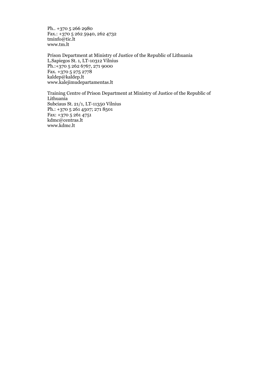Ph.. +370 5 266 2980 Fax.: +370 5 262 5940, 262 4732 tminfo@tic.lt www.tm.lt

Prison Department at Ministry of Justice of the Republic of Lithuania L.Sapiegos St. 1, LT-10312 Vilnius Ph.:+370 5 262 6767, 271 9000 Fax. +370 5 275 2778 kaldep@kaldep.lt www.kalejimudepartamentas.lt

Training Centre of Prison Department at Ministry of Justice of the Republic of Lithuania Subciaus St. 21/1, LT-11350 Vilnius Ph.: +370 5 261 4507; 271 8501 Fax: +370 5 261 4751 kdmc@centras.lt www.kdmc.lt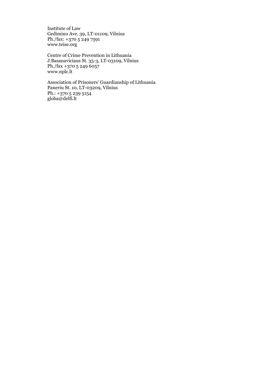Institute of Law Gedimino Ave. 39, LT-01109, Vilnius Ph./fax: +370 5 249 7591 www.teise.org

Centre of Crime Prevention in Lithuania J.Basanaviciaus St. 35-3, LT-03109, Vilnius Ph./fax +370 5 249 6057 www.nplc.lt

Association of Prisoners' Guardianship of Lithuania Paneriu St. 10, LT-03209, Vilnius Ph.: +370 5 239 5154 globa@delfi.lt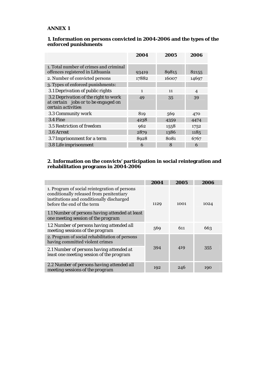# **ANNEX 1**

#### **1. Information on persons convicted in 2004-2006 and the types of the enforced punishments**

|                                                                                                   | 2004         | 2005  | 2006           |
|---------------------------------------------------------------------------------------------------|--------------|-------|----------------|
| 1. Total number of crimes and criminal<br>offences registered in Lithuania                        | 93419        | 89815 | 82155          |
| 2. Number of convicted persons                                                                    | 17882        | 16007 | 14697          |
| 3. Types of enforced punishments:                                                                 |              |       |                |
| 3.1 Deprivation of public rights                                                                  | $\mathbf{1}$ | 11    | $\overline{4}$ |
| 3.2 Deprivation of the right to work<br>at certain jobs or to be engaged on<br>certain activities | 49           | 35    | 39             |
| 3.3 Community work                                                                                | 819          | 569   | 470            |
| $3.4$ Fine                                                                                        | 4238         | 4359  | 4474           |
| 3.5 Restriction of freedom                                                                        | 962          | 1558  | 1752           |
| 3.6 Arrest                                                                                        | 2879         | 1386  | 1185           |
| 3.7 Imprisonment for a term                                                                       | 8928         | 8081  | 6767           |
| 3.8 Life imprisonment                                                                             | 6            | 8     | 6              |

## **2. Information on the convicts' participation in social reintegration and rehabilitation programs in 2004-2006**

|                                                                                                                                                                      | 2004 | 2005 | 2006 |
|----------------------------------------------------------------------------------------------------------------------------------------------------------------------|------|------|------|
| 1. Program of social reintegration of persons<br>conditionally released from penitentiary<br>institutions and conditionally discharged<br>before the end of the term | 1129 | 1001 | 1024 |
| 1.1 Number of persons having attended at least<br>one meeting session of the program                                                                                 |      |      |      |
| 1.2 Number of persons having attended all<br>meeting sessions of the program                                                                                         | 569  | 611  | 663  |
| 2. Program of social rehabilitation of persons<br>having committed violent crimes                                                                                    |      |      |      |
| 2.1 Number of persons having attended at<br>least one meeting session of the program                                                                                 | 394  | 419  | 355  |
| 2.2 Number of persons having attended all<br>meeting sessions of the program                                                                                         | 192  | 246  | 190  |